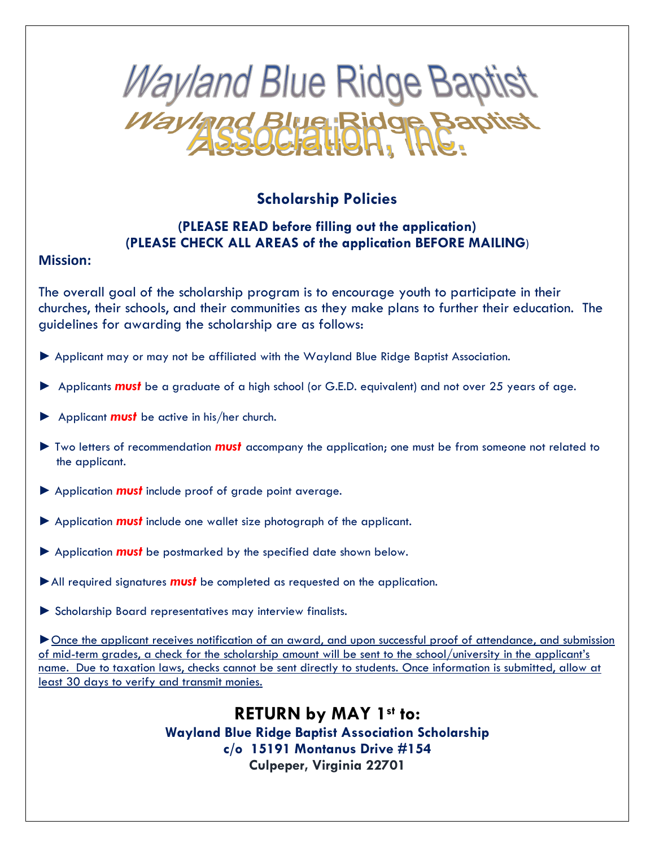

## **Scholarship Policies**

## **(PLEASE READ before filling out the application) (PLEASE CHECK ALL AREAS of the application BEFORE MAILING**)

## **Mission:**

The overall goal of the scholarship program is to encourage youth to participate in their churches, their schools, and their communities as they make plans to further their education. The guidelines for awarding the scholarship are as follows:

- ► Applicant may or may not be affiliated with the Wayland Blue Ridge Baptist Association.
- ► Applicants *must* be a graduate of a high school (or G.E.D. equivalent) and not over 25 years of age.
- ► Applicant *must* be active in his/her church.
- ► Two letters of recommendation *must* accompany the application; one must be from someone not related to the applicant.
- ► Application *must* include proof of grade point average.
- ► Application *must* include one wallet size photograph of the applicant.
- ► Application *must* be postmarked by the specified date shown below.
- ►All required signatures *must* be completed as requested on the application.
- ► Scholarship Board representatives may interview finalists.

►Once the applicant receives notification of an award, and upon successful proof of attendance, and submission of mid-term grades, a check for the scholarship amount will be sent to the school/university in the applicant's name. Due to taxation laws, checks cannot be sent directly to students. Once information is submitted, allow at least 30 days to verify and transmit monies.

> **RETURN by MAY 1st to: Wayland Blue Ridge Baptist Association Scholarship c/o 15191 Montanus Drive #154 Culpeper, Virginia 22701**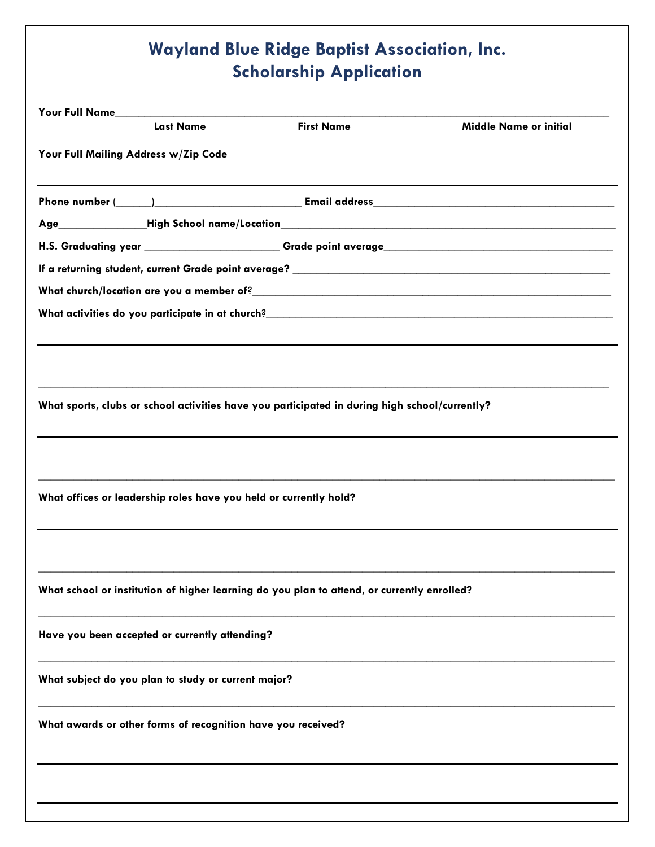## **Wayland Blue Ridge Baptist Association, Inc. Scholarship Application**

|                                                     | <b>Last Name</b>                                                  | <b>First Name</b>                                                                              | <b>Middle Name or initial</b>                                                    |  |
|-----------------------------------------------------|-------------------------------------------------------------------|------------------------------------------------------------------------------------------------|----------------------------------------------------------------------------------|--|
| Your Full Mailing Address w/Zip Code                |                                                                   |                                                                                                |                                                                                  |  |
|                                                     |                                                                   |                                                                                                |                                                                                  |  |
|                                                     |                                                                   |                                                                                                |                                                                                  |  |
|                                                     |                                                                   |                                                                                                |                                                                                  |  |
|                                                     |                                                                   |                                                                                                |                                                                                  |  |
|                                                     |                                                                   |                                                                                                |                                                                                  |  |
|                                                     |                                                                   |                                                                                                |                                                                                  |  |
|                                                     |                                                                   |                                                                                                |                                                                                  |  |
|                                                     |                                                                   |                                                                                                |                                                                                  |  |
|                                                     |                                                                   |                                                                                                |                                                                                  |  |
|                                                     |                                                                   | What sports, clubs or school activities have you participated in during high school/currently? |                                                                                  |  |
|                                                     |                                                                   |                                                                                                |                                                                                  |  |
|                                                     |                                                                   |                                                                                                |                                                                                  |  |
|                                                     |                                                                   |                                                                                                |                                                                                  |  |
|                                                     |                                                                   |                                                                                                | ,我们也不能在这里的时候,我们也不能在这里的时候,我们也不能不能不能不能不能不能不能不能不能不能不能不能不能不能不能。""我们的是我们的,我们也不能不能不能不能 |  |
|                                                     | What offices or leadership roles have you held or currently hold? |                                                                                                |                                                                                  |  |
|                                                     |                                                                   |                                                                                                |                                                                                  |  |
|                                                     |                                                                   |                                                                                                |                                                                                  |  |
|                                                     |                                                                   |                                                                                                |                                                                                  |  |
|                                                     |                                                                   | What school or institution of higher learning do you plan to attend, or currently enrolled?    |                                                                                  |  |
|                                                     |                                                                   |                                                                                                |                                                                                  |  |
|                                                     | Have you been accepted or currently attending?                    |                                                                                                |                                                                                  |  |
|                                                     |                                                                   |                                                                                                |                                                                                  |  |
|                                                     |                                                                   |                                                                                                |                                                                                  |  |
|                                                     |                                                                   |                                                                                                |                                                                                  |  |
| What subject do you plan to study or current major? |                                                                   |                                                                                                |                                                                                  |  |